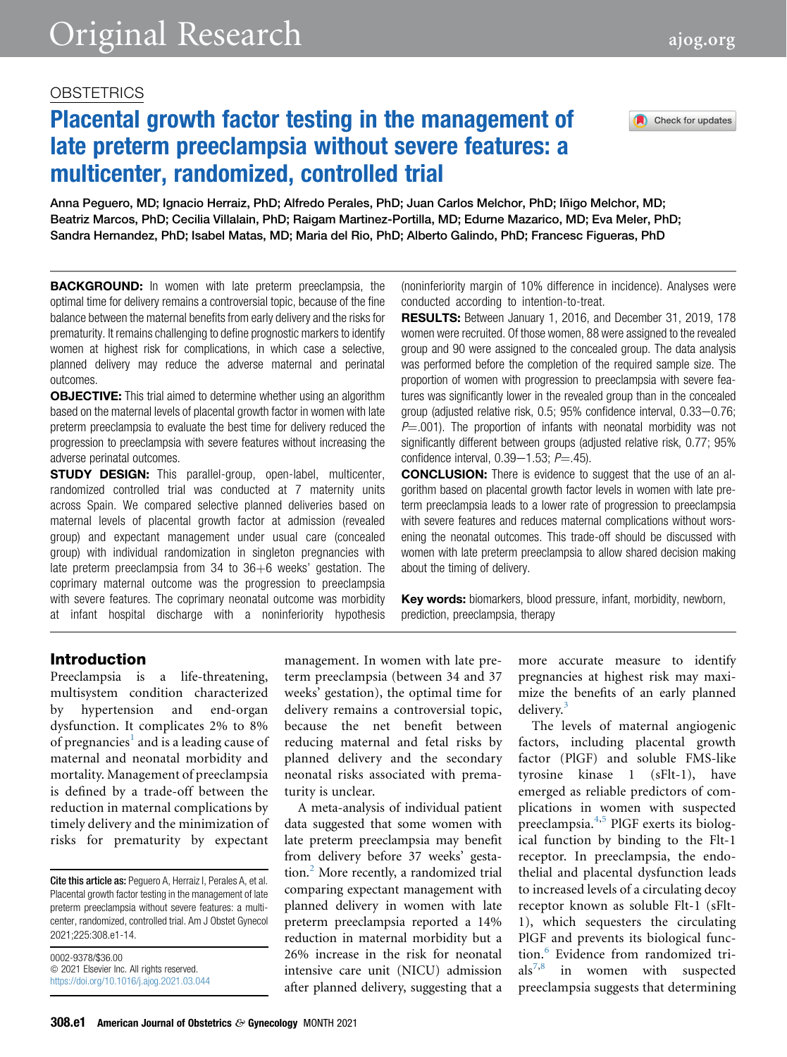## **OBSTETRICS**

# Placental growth factor testing in the management of late preterm preeclampsia without severe features: a multicenter, randomized, controlled trial

Check for updates

Anna Peguero, MD; Ignacio Herraiz, PhD; Alfredo Perales, PhD; Juan Carlos Melchor, PhD; Iñigo Melchor, MD; Beatriz Marcos, PhD; Cecilia Villalain, PhD; Raigam Martinez-Portilla, MD; Edurne Mazarico, MD; Eva Meler, PhD; Sandra Hernandez, PhD; Isabel Matas, MD; Maria del Rio, PhD; Alberto Galindo, PhD; Francesc Figueras, PhD

**BACKGROUND:** In women with late preterm preeclampsia, the optimal time for delivery remains a controversial topic, because of the fine balance between the maternal benefits from early delivery and the risks for prematurity. It remains challenging to define prognostic markers to identify women at highest risk for complications, in which case a selective, planned delivery may reduce the adverse maternal and perinatal outcomes.

**OBJECTIVE:** This trial aimed to determine whether using an algorithm based on the maternal levels of placental growth factor in women with late preterm preeclampsia to evaluate the best time for delivery reduced the progression to preeclampsia with severe features without increasing the adverse perinatal outcomes.

**STUDY DESIGN:** This parallel-group, open-label, multicenter, randomized controlled trial was conducted at 7 maternity units across Spain. We compared selective planned deliveries based on maternal levels of placental growth factor at admission (revealed group) and expectant management under usual care (concealed group) with individual randomization in singleton pregnancies with late preterm preeclampsia from  $34$  to  $36+6$  weeks' gestation. The coprimary maternal outcome was the progression to preeclampsia with severe features. The coprimary neonatal outcome was morbidity at infant hospital discharge with a noninferiority hypothesis (noninferiority margin of 10% difference in incidence). Analyses were conducted according to intention-to-treat.

RESULTS: Between January 1, 2016, and December 31, 2019, 178 women were recruited. Of those women, 88 were assigned to the revealed group and 90 were assigned to the concealed group. The data analysis was performed before the completion of the required sample size. The proportion of women with progression to preeclampsia with severe features was significantly lower in the revealed group than in the concealed group (adjusted relative risk,  $0.5$ ;  $95%$  confidence interval,  $0.33-0.76$ ;  $P=0.001$ ). The proportion of infants with neonatal morbidity was not significantly different between groups (adjusted relative risk, 0.77; 95% confidence interval,  $0.39-1.53$ ;  $P = .45$ ).

**CONCLUSION:** There is evidence to suggest that the use of an algorithm based on placental growth factor levels in women with late preterm preeclampsia leads to a lower rate of progression to preeclampsia with severe features and reduces maternal complications without worsening the neonatal outcomes. This trade-off should be discussed with women with late preterm preeclampsia to allow shared decision making about the timing of delivery.

Key words: biomarkers, blood pressure, infant, morbidity, newborn, prediction, preeclampsia, therapy

#### Introduction

Preeclampsia is a life-threatening, multisystem condition characterized by hypertension and end-organ dysfunction. It complicates 2% to 8% of pregnancies<sup>[1](#page-7-0)</sup> and is a leading cause of maternal and neonatal morbidity and mortality. Management of preeclampsia is defined by a trade-off between the reduction in maternal complications by timely delivery and the minimization of risks for prematurity by expectant

Cite this article as: Peguero A, Herraiz I, Perales A, et al. Placental growth factor testing in the management of late preterm preeclampsia without severe features: a multicenter, randomized, controlled trial. Am J Obstet Gynecol 2021;225:308.e1-14.

0002-9378/\$36.00  $©$  2021 Elsevier Inc. All rights reserved. <https://doi.org/10.1016/j.ajog.2021.03.044> management. In women with late preterm preeclampsia (between 34 and 37 weeks' gestation), the optimal time for delivery remains a controversial topic, because the net benefit between reducing maternal and fetal risks by planned delivery and the secondary neonatal risks associated with prematurity is unclear.

A meta-analysis of individual patient data suggested that some women with late preterm preeclampsia may benefit from delivery before 37 weeks' gesta-tion.<sup>[2](#page-7-1)</sup> More recently, a randomized trial comparing expectant management with planned delivery in women with late preterm preeclampsia reported a 14% reduction in maternal morbidity but a 26% increase in the risk for neonatal intensive care unit (NICU) admission after planned delivery, suggesting that a

more accurate measure to identify pregnancies at highest risk may maximize the benefits of an early planned delivery.

The levels of maternal angiogenic factors, including placental growth factor (PlGF) and soluble FMS-like tyrosine kinase 1 (sFlt-1), have emerged as reliable predictors of complications in women with suspected preeclampsia.[4,](#page-7-3)[5](#page-7-4) PlGF exerts its biological function by binding to the Flt-1 receptor. In preeclampsia, the endothelial and placental dysfunction leads to increased levels of a circulating decoy receptor known as soluble Flt-1 (sFlt-1), which sequesters the circulating PlGF and prevents its biological func-tion.<sup>[6](#page-7-5)</sup> Evidence from randomized tri- $als^{7,8}$  $als^{7,8}$  $als^{7,8}$  $als^{7,8}$  in women with suspected preeclampsia suggests that determining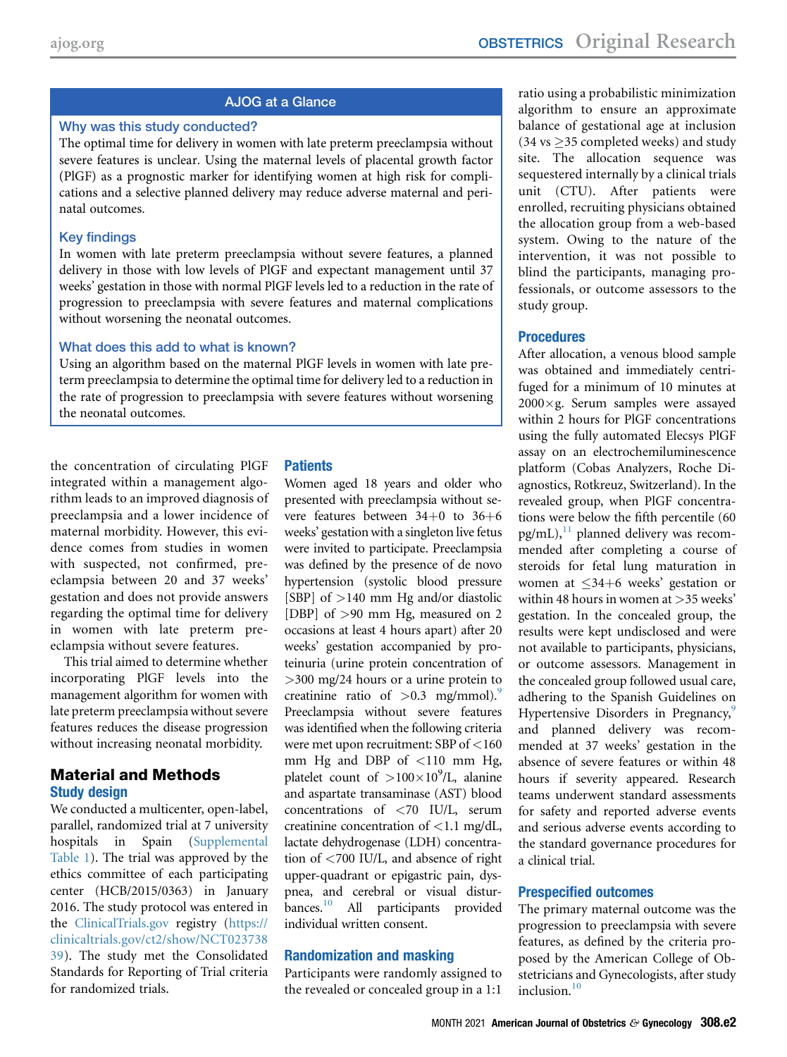#### AJOG at a Glance

#### Why was this study conducted?

The optimal time for delivery in women with late preterm preeclampsia without severe features is unclear. Using the maternal levels of placental growth factor (PlGF) as a prognostic marker for identifying women at high risk for complications and a selective planned delivery may reduce adverse maternal and perinatal outcomes.

#### Key findings

In women with late preterm preeclampsia without severe features, a planned delivery in those with low levels of PlGF and expectant management until 37 weeks' gestation in those with normal PlGF levels led to a reduction in the rate of progression to preeclampsia with severe features and maternal complications without worsening the neonatal outcomes.

#### What does this add to what is known?

Using an algorithm based on the maternal PlGF levels in women with late preterm preeclampsia to determine the optimal time for delivery led to a reduction in the rate of progression to preeclampsia with severe features without worsening the neonatal outcomes.

the concentration of circulating PlGF integrated within a management algorithm leads to an improved diagnosis of preeclampsia and a lower incidence of maternal morbidity. However, this evidence comes from studies in women with suspected, not confirmed, preeclampsia between 20 and 37 weeks' gestation and does not provide answers regarding the optimal time for delivery in women with late preterm preeclampsia without severe features.

This trial aimed to determine whether incorporating PlGF levels into the management algorithm for women with late preterm preeclampsia without severe features reduces the disease progression without increasing neonatal morbidity.

#### Material and Methods Study design

We conducted a multicenter, open-label, parallel, randomized trial at 7 university hospitals in Spain ([Supplemental](#page-11-0) [Table 1\)](#page-11-0). The trial was approved by the ethics committee of each participating center (HCB/2015/0363) in January 2016. The study protocol was entered in the [ClinicalTrials.gov](http://ClinicalTrials.gov) registry ([https://](https://clinicaltrials.gov/ct2/show/NCT02373839) [clinicaltrials.gov/ct2/show/NCT023738](https://clinicaltrials.gov/ct2/show/NCT02373839) [39\)](https://clinicaltrials.gov/ct2/show/NCT02373839). The study met the Consolidated Standards for Reporting of Trial criteria for randomized trials.

#### **Patients**

Women aged 18 years and older who presented with preeclampsia without severe features between  $34+0$  to  $36+6$ weeks' gestation with a singleton live fetus were invited to participate. Preeclampsia was defined by the presence of de novo hypertension (systolic blood pressure [SBP] of >140 mm Hg and/or diastolic [DBP] of >90 mm Hg, measured on 2 occasions at least 4 hours apart) after 20 weeks' gestation accompanied by proteinuria (urine protein concentration of >300 mg/24 hours or a urine protein to creatinine ratio of  $> 0.3$  mg/mmol).<sup>9</sup> Preeclampsia without severe features was identified when the following criteria were met upon recruitment: SBP of <160 mm Hg and DBP of <110 mm Hg, platelet count of  $>100\times10^9$ /L, alanine and aspartate transaminase (AST) blood concentrations of <70 IU/L, serum creatinine concentration of <1.1 mg/dL, lactate dehydrogenase (LDH) concentration of <700 IU/L, and absence of right upper-quadrant or epigastric pain, dyspnea, and cerebral or visual disturbances.<sup>10</sup> All participants provided individual written consent.

#### Randomization and masking

Participants were randomly assigned to the revealed or concealed group in a 1:1

ratio using a probabilistic minimization algorithm to ensure an approximate balance of gestational age at inclusion  $(34 \text{ vs } \geq 35 \text{ completed weeks})$  and study site. The allocation sequence was sequestered internally by a clinical trials unit (CTU). After patients were enrolled, recruiting physicians obtained the allocation group from a web-based system. Owing to the nature of the intervention, it was not possible to blind the participants, managing professionals, or outcome assessors to the study group.

#### **Procedures**

After allocation, a venous blood sample was obtained and immediately centrifuged for a minimum of 10 minutes at  $2000 \times g$ . Serum samples were assayed within 2 hours for PlGF concentrations using the fully automated Elecsys PlGF assay on an electrochemiluminescence platform (Cobas Analyzers, Roche Diagnostics, Rotkreuz, Switzerland). In the revealed group, when PlGF concentrations were below the fifth percentile (60  $pg/mL$ ,<sup>[11](#page-8-4)</sup> planned delivery was recommended after completing a course of steroids for fetal lung maturation in women at  $\leq 34+6$  weeks' gestation or within 48 hours in women at >35 weeks' gestation. In the concealed group, the results were kept undisclosed and were not available to participants, physicians, or outcome assessors. Management in the concealed group followed usual care, adhering to the Spanish Guidelines on Hypertensive Disorders in Pregnancy,<sup>[9](#page-8-2)</sup> and planned delivery was recommended at 37 weeks' gestation in the absence of severe features or within 48 hours if severity appeared. Research teams underwent standard assessments for safety and reported adverse events and serious adverse events according to the standard governance procedures for a clinical trial.

#### Prespecified outcomes

The primary maternal outcome was the progression to preeclampsia with severe features, as defined by the criteria proposed by the American College of Obstetricians and Gynecologists, after study  $inclusion<sup>10</sup>$  $inclusion<sup>10</sup>$  $inclusion<sup>10</sup>$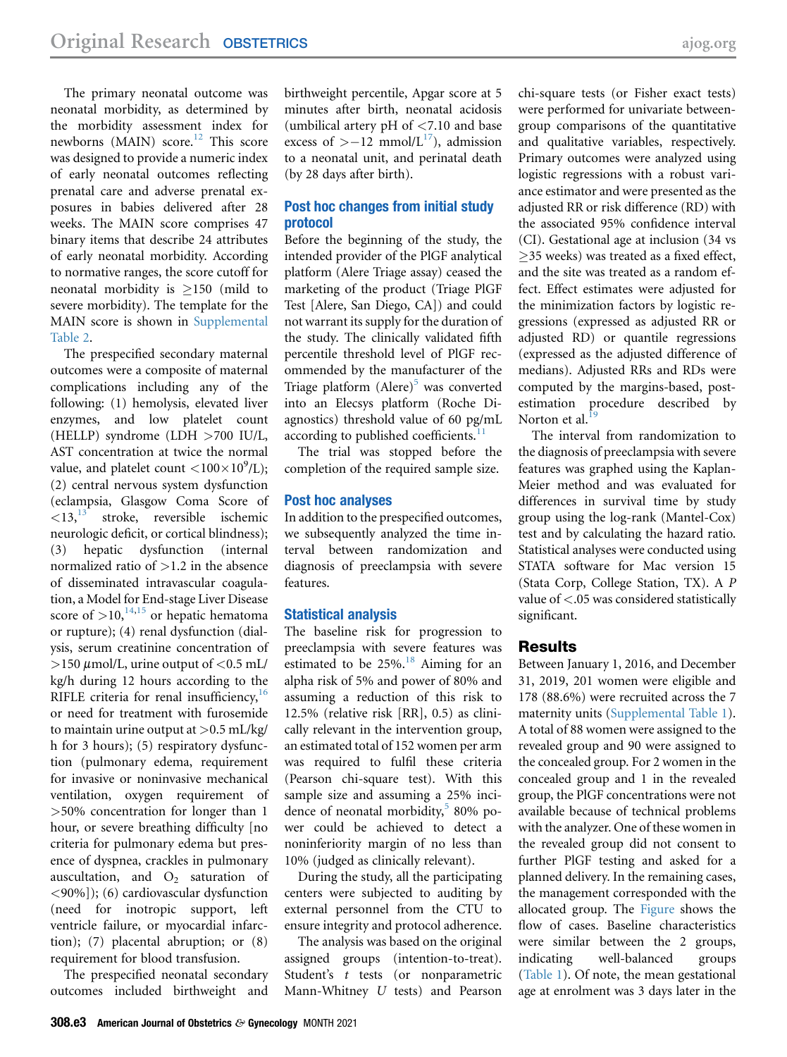The primary neonatal outcome was neonatal morbidity, as determined by the morbidity assessment index for newborns (MAIN) score.<sup>[12](#page-8-5)</sup> This score was designed to provide a numeric index of early neonatal outcomes reflecting prenatal care and adverse prenatal exposures in babies delivered after 28 weeks. The MAIN score comprises 47 binary items that describe 24 attributes of early neonatal morbidity. According to normative ranges, the score cutoff for neonatal morbidity is  $>150$  (mild to severe morbidity). The template for the MAIN score is shown in [Supplemental](#page-11-1) [Table 2](#page-11-1).

The prespecified secondary maternal outcomes were a composite of maternal complications including any of the following: (1) hemolysis, elevated liver enzymes, and low platelet count (HELLP) syndrome (LDH >700 IU/L, AST concentration at twice the normal value, and platelet count  $\langle 100 \times 10^9/\text{L} \rangle$ ; (2) central nervous system dysfunction (eclampsia, Glasgow Coma Score of  $\langle 13, 13 \rangle$  $\langle 13, 13 \rangle$  $\langle 13, 13 \rangle$  stroke, reversible ischemic neurologic deficit, or cortical blindness); (3) hepatic dysfunction (internal normalized ratio of  $>1.2$  in the absence of disseminated intravascular coagulation, a Model for End-stage Liver Disease score of  $>10$ ,  $\frac{14,15}{14}$  $\frac{14,15}{14}$  $\frac{14,15}{14}$  $\frac{14,15}{14}$  $\frac{14,15}{14}$  or hepatic hematoma or rupture); (4) renal dysfunction (dialysis, serum creatinine concentration of  $>$ 150  $\mu$ mol/L, urine output of <0.5 mL/ kg/h during 12 hours according to the RIFLE criteria for renal insufficiency,  $16$ or need for treatment with furosemide to maintain urine output at  $> 0.5$  mL/kg/ h for 3 hours); (5) respiratory dysfunction (pulmonary edema, requirement for invasive or noninvasive mechanical ventilation, oxygen requirement of >50% concentration for longer than 1 hour, or severe breathing difficulty [no criteria for pulmonary edema but presence of dyspnea, crackles in pulmonary auscultation, and  $O<sub>2</sub>$  saturation of <90%]); (6) cardiovascular dysfunction (need for inotropic support, left ventricle failure, or myocardial infarction); (7) placental abruption; or (8) requirement for blood transfusion.

The prespecified neonatal secondary outcomes included birthweight and birthweight percentile, Apgar score at 5 minutes after birth, neonatal acidosis (umbilical artery pH of <7.10 and base excess of  $>-12$  mmol/L<sup>[17](#page-8-10)</sup>), admission to a neonatal unit, and perinatal death (by 28 days after birth).

#### Post hoc changes from initial study protocol

Before the beginning of the study, the intended provider of the PlGF analytical platform (Alere Triage assay) ceased the marketing of the product (Triage PlGF Test [Alere, San Diego, CA]) and could not warrant its supply for the duration of the study. The clinically validated fifth percentile threshold level of PlGF recommended by the manufacturer of the Triage platform  $(Alere)^5$  $(Alere)^5$  was converted into an Elecsys platform (Roche Diagnostics) threshold value of 60 pg/mL according to published coefficients.<sup>1</sup>

The trial was stopped before the completion of the required sample size.

#### Post hoc analyses

In addition to the prespecified outcomes, we subsequently analyzed the time interval between randomization and diagnosis of preeclampsia with severe features.

#### Statistical analysis

The baseline risk for progression to preeclampsia with severe features was estimated to be  $25\%$ .<sup>[18](#page-8-11)</sup> Aiming for an alpha risk of 5% and power of 80% and assuming a reduction of this risk to 12.5% (relative risk [RR], 0.5) as clinically relevant in the intervention group, an estimated total of 152 women per arm was required to fulfil these criteria (Pearson chi-square test). With this sample size and assuming a 25% incidence of neonatal morbidity, $580\%$  $580\%$  power could be achieved to detect a noninferiority margin of no less than 10% (judged as clinically relevant).

During the study, all the participating centers were subjected to auditing by external personnel from the CTU to ensure integrity and protocol adherence.

The analysis was based on the original assigned groups (intention-to-treat). Student's t tests (or nonparametric Mann-Whitney U tests) and Pearson chi-square tests (or Fisher exact tests) were performed for univariate betweengroup comparisons of the quantitative and qualitative variables, respectively. Primary outcomes were analyzed using logistic regressions with a robust variance estimator and were presented as the adjusted RR or risk difference (RD) with the associated 95% confidence interval (CI). Gestational age at inclusion (34 vs 35 weeks) was treated as a fixed effect, and the site was treated as a random effect. Effect estimates were adjusted for the minimization factors by logistic regressions (expressed as adjusted RR or adjusted RD) or quantile regressions (expressed as the adjusted difference of medians). Adjusted RRs and RDs were computed by the margins-based, postestimation procedure described by Norton et al. $^1$ 

The interval from randomization to the diagnosis of preeclampsia with severe features was graphed using the Kaplan-Meier method and was evaluated for differences in survival time by study group using the log-rank (Mantel-Cox) test and by calculating the hazard ratio. Statistical analyses were conducted using STATA software for Mac version 15 (Stata Corp, College Station, TX). A P value of <.05 was considered statistically significant.

#### Results

Between January 1, 2016, and December 31, 2019, 201 women were eligible and 178 (88.6%) were recruited across the 7 maternity units [\(Supplemental Table 1\)](#page-11-0). A total of 88 women were assigned to the revealed group and 90 were assigned to the concealed group. For 2 women in the concealed group and 1 in the revealed group, the PlGF concentrations were not available because of technical problems with the analyzer. One of these women in the revealed group did not consent to further PlGF testing and asked for a planned delivery. In the remaining cases, the management corresponded with the allocated group. The [Figure](#page-3-0) shows the flow of cases. Baseline characteristics were similar between the 2 groups, indicating well-balanced groups [\(Table 1](#page-4-0)). Of note, the mean gestational age at enrolment was 3 days later in the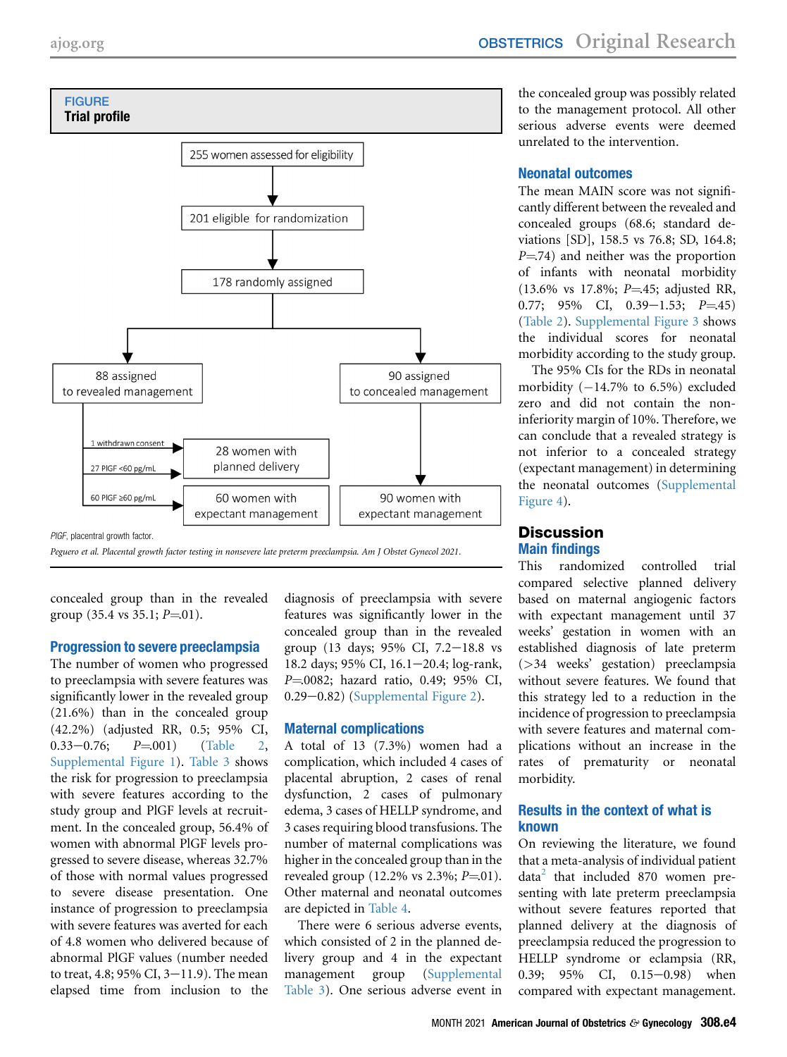<span id="page-3-0"></span>

Peguero et al. Placental growth factor testing in nonsevere late preterm preeclampsia. Am J Obstet Gynecol 2021.

concealed group than in the revealed group  $(35.4 \text{ vs } 35.1; P=01).$ 

#### Progression to severe preeclampsia

The number of women who progressed to preeclampsia with severe features was significantly lower in the revealed group (21.6%) than in the concealed group (42.2%) (adjusted RR, 0.5; 95% CI,  $0.33-0.76;$   $P=001$  ([Table 2,](#page-5-0) [Supplemental Figure 1\)](#page-9-0). [Table 3](#page-5-1) shows the risk for progression to preeclampsia with severe features according to the study group and PlGF levels at recruitment. In the concealed group, 56.4% of women with abnormal PlGF levels progressed to severe disease, whereas 32.7% of those with normal values progressed to severe disease presentation. One instance of progression to preeclampsia with severe features was averted for each of 4.8 women who delivered because of abnormal PlGF values (number needed to treat, 4.8; 95% CI,  $3-11.9$ ). The mean elapsed time from inclusion to the

diagnosis of preeclampsia with severe features was significantly lower in the concealed group than in the revealed group (13 days;  $95\%$  CI,  $7.2-18.8$  vs 18.2 days; 95% CI, 16.1-20.4; log-rank, P=.0082; hazard ratio, 0.49; 95% CI,  $0.29-0.82$ ) [\(Supplemental Figure 2\)](#page-9-1).

#### Maternal complications

A total of 13 (7.3%) women had a complication, which included 4 cases of placental abruption, 2 cases of renal dysfunction, 2 cases of pulmonary edema, 3 cases of HELLP syndrome, and 3 cases requiring blood transfusions. The number of maternal complications was higher in the concealed group than in the revealed group  $(12.2\% \text{ vs } 2.3\%; P=01).$ Other maternal and neonatal outcomes are depicted in [Table 4.](#page-6-0)

There were 6 serious adverse events, which consisted of 2 in the planned delivery group and 4 in the expectant management group [\(Supplemental](#page-13-0) [Table 3](#page-13-0)). One serious adverse event in

the concealed group was possibly related to the management protocol. All other serious adverse events were deemed unrelated to the intervention.

#### Neonatal outcomes

The mean MAIN score was not significantly different between the revealed and concealed groups (68.6; standard deviations [SD], 158.5 vs 76.8; SD, 164.8;  $P = 74$ ) and neither was the proportion of infants with neonatal morbidity  $(13.6\% \text{ vs } 17.8\%; P = 45; \text{ adjusted RR},$ 0.77; 95% CI, 0.39-1.53;  $P = 45$ ) [\(Table 2](#page-5-0)). [Supplemental Figure 3](#page-10-0) shows the individual scores for neonatal morbidity according to the study group.

The 95% CIs for the RDs in neonatal morbidity  $(-14.7\%$  to 6.5%) excluded zero and did not contain the noninferiority margin of 10%. Therefore, we can conclude that a revealed strategy is not inferior to a concealed strategy (expectant management) in determining the neonatal outcomes [\(Supplemental](#page-10-1) [Figure 4](#page-10-1)).

#### **Discussion** Main findings

This randomized controlled trial compared selective planned delivery based on maternal angiogenic factors with expectant management until 37 weeks' gestation in women with an established diagnosis of late preterm (>34 weeks' gestation) preeclampsia without severe features. We found that this strategy led to a reduction in the incidence of progression to preeclampsia with severe features and maternal complications without an increase in the rates of prematurity or neonatal morbidity.

#### Results in the context of what is known

On reviewing the literature, we found that a meta-analysis of individual patient  $data<sup>2</sup>$  $data<sup>2</sup>$  $data<sup>2</sup>$  that included 870 women presenting with late preterm preeclampsia without severe features reported that planned delivery at the diagnosis of preeclampsia reduced the progression to HELLP syndrome or eclampsia (RR, 0.39; 95% CI, 0.15-0.98) when compared with expectant management.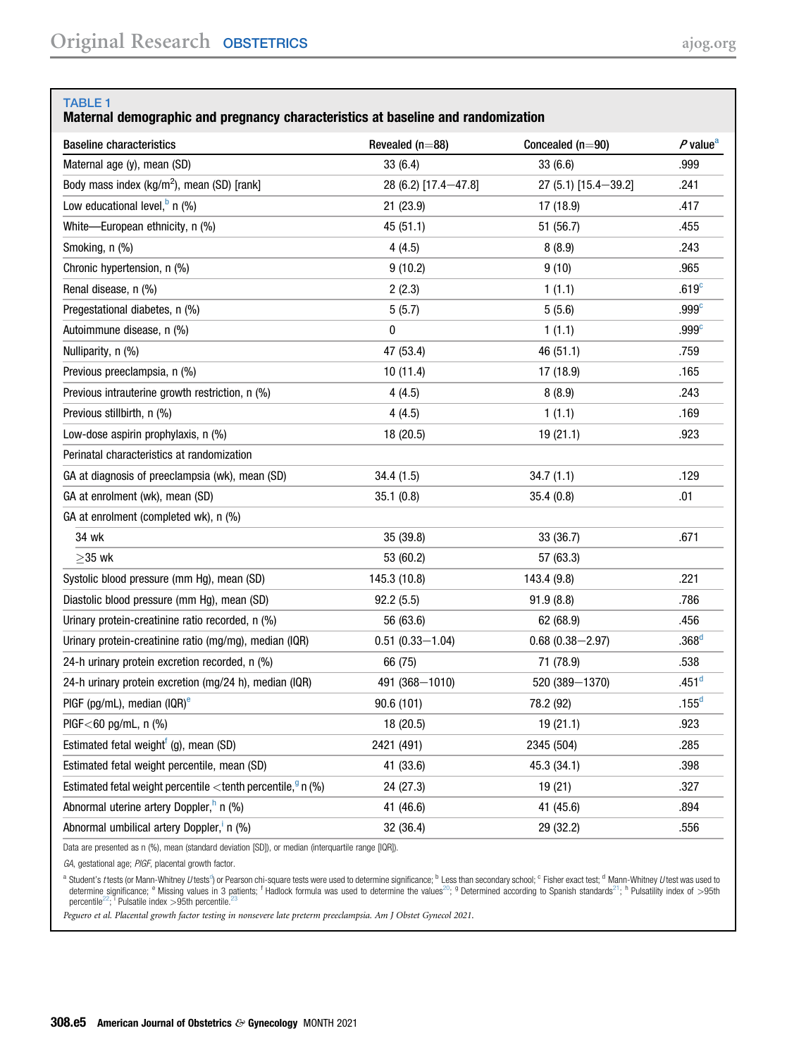#### <span id="page-4-0"></span>TABLE 1

#### Maternal demographic and pregnancy characteristics at baseline and randomization

| <b>Baseline characteristics</b>                                           | Revealed $(n=88)$    | Concealed $(n=90)$   | P value <sup>a</sup> |
|---------------------------------------------------------------------------|----------------------|----------------------|----------------------|
| Maternal age (y), mean (SD)                                               | 33(6.4)              | 33(6.6)              | .999                 |
| Body mass index (kg/m <sup>2</sup> ), mean (SD) [rank]                    | 28 (6.2) [17.4-47.8] | 27 (5.1) [15.4-39.2] | .241                 |
| Low educational level, $^b$ n (%)                                         | 21 (23.9)            | 17 (18.9)            | .417                 |
| White-European ethnicity, n (%)                                           | 45 (51.1)            | 51 (56.7)            | .455                 |
| Smoking, n (%)                                                            | 4(4.5)               | 8(8.9)               | .243                 |
| Chronic hypertension, n (%)                                               | 9(10.2)              | 9(10)                | .965                 |
| Renal disease, n (%)                                                      | 2(2.3)               | 1(1.1)               | .619 <sup>c</sup>    |
| Pregestational diabetes, n (%)                                            | 5(5.7)               | 5(5.6)               | .999 <sup>c</sup>    |
| Autoimmune disease, n (%)                                                 | 0                    | 1(1.1)               | .999 <sup>c</sup>    |
| Nulliparity, n (%)                                                        | 47 (53.4)            | 46 (51.1)            | .759                 |
| Previous preeclampsia, n (%)                                              | 10 (11.4)            | 17 (18.9)            | .165                 |
| Previous intrauterine growth restriction, n (%)                           | 4(4.5)               | 8(8.9)               | .243                 |
| Previous stillbirth, n (%)                                                | 4(4.5)               | 1(1.1)               | .169                 |
| Low-dose aspirin prophylaxis, n (%)                                       | 18 (20.5)            | 19 (21.1)            | .923                 |
| Perinatal characteristics at randomization                                |                      |                      |                      |
| GA at diagnosis of preeclampsia (wk), mean (SD)                           | 34.4 (1.5)           | 34.7(1.1)            | .129                 |
| GA at enrolment (wk), mean (SD)                                           | 35.1(0.8)            | 35.4(0.8)            | .01                  |
| GA at enrolment (completed wk), n (%)                                     |                      |                      |                      |
| 34 wk                                                                     | 35 (39.8)            | 33 (36.7)            | .671                 |
| $>35$ wk                                                                  | 53 (60.2)            | 57 (63.3)            |                      |
| Systolic blood pressure (mm Hg), mean (SD)                                | 145.3 (10.8)         | 143.4 (9.8)          | .221                 |
| Diastolic blood pressure (mm Hq), mean (SD)                               | 92.2(5.5)            | 91.9(8.8)            | .786                 |
| Urinary protein-creatinine ratio recorded, n (%)                          | 56 (63.6)            | 62 (68.9)            | .456                 |
| Urinary protein-creatinine ratio (mg/mg), median (IQR)                    | $0.51(0.33 - 1.04)$  | $0.68(0.38 - 2.97)$  | .368 <sup>d</sup>    |
| 24-h urinary protein excretion recorded, n (%)                            | 66 (75)              | 71 (78.9)            | .538                 |
| 24-h urinary protein excretion (mg/24 h), median (IQR)                    | 491 (368-1010)       | 520 (389-1370)       | .451 <sup>d</sup>    |
| PIGF (pg/mL), median (IQR) $^e$                                           | 90.6 (101)           | 78.2 (92)            | .155 <sup>d</sup>    |
| PIGF $<$ 60 pg/mL, n (%)                                                  | 18 (20.5)            | 19(21.1)             | .923                 |
| Estimated fetal weight <sup>f</sup> (g), mean (SD)                        | 2421 (491)           | 2345 (504)           | .285                 |
| Estimated fetal weight percentile, mean (SD)                              | 41 (33.6)            | 45.3 (34.1)          | .398                 |
| Estimated fetal weight percentile < tenth percentile, $\frac{9}{9}$ n (%) | 24 (27.3)            | 19 (21)              | .327                 |
| Abnormal uterine artery Doppler, <sup>h</sup> n (%)                       | 41 (46.6)            | 41 (45.6)            | .894                 |
| Abnormal umbilical artery Doppler, n (%)                                  | 32 (36.4)            | 29 (32.2)            | .556                 |

Data are presented as n (%), mean (standard deviation [SD]), or median (interquartile range [IQR]).

GA, gestational age; PIGF, placental growth factor.

<span id="page-4-3"></span><span id="page-4-2"></span><span id="page-4-1"></span>a Stu[d](#page-4-1)ent's *t* tests (or Mann-Whitney *U* tests<sup>4</sup>) or Pearson chi-square tests were used to determine significance; <sup>b</sup> Less than secondary school; <sup>c</sup> Fisher exact test; <sup>d</sup> Mann-Whitney *U* test was used to the student percentile<sup>[22](#page-8-15)</sup>; <sup>i</sup> Pulsatile index >95th percentile.<sup>[23](#page-8-16)</sup>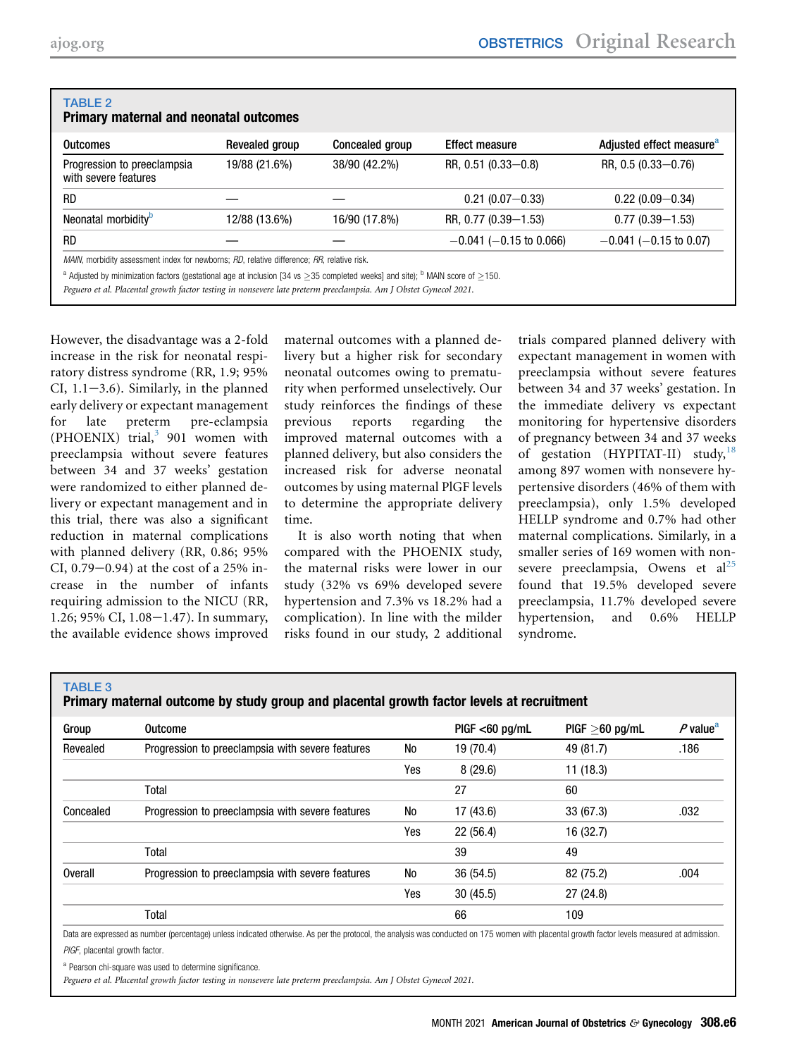<span id="page-5-0"></span>

| <b>TABLE 2</b><br><b>Primary maternal and neonatal outcomes</b>                                                                                                                                                                                                         |                |                 |                              |                                      |  |
|-------------------------------------------------------------------------------------------------------------------------------------------------------------------------------------------------------------------------------------------------------------------------|----------------|-----------------|------------------------------|--------------------------------------|--|
| <b>Outcomes</b>                                                                                                                                                                                                                                                         | Revealed group | Concealed group | <b>Effect measure</b>        | Adjusted effect measure <sup>a</sup> |  |
| Progression to preeclampsia<br>with severe features                                                                                                                                                                                                                     | 19/88 (21.6%)  | 38/90 (42.2%)   | RR, $0.51(0.33 - 0.8)$       | RR, $0.5(0.33 - 0.76)$               |  |
| <b>RD</b>                                                                                                                                                                                                                                                               |                |                 | $0.21(0.07 - 0.33)$          | $0.22(0.09 - 0.34)$                  |  |
| Neonatal morbidity <sup>b</sup>                                                                                                                                                                                                                                         | 12/88 (13.6%)  | 16/90 (17.8%)   | RR, 0.77 (0.39-1.53)         | $0.77(0.39 - 1.53)$                  |  |
| <b>RD</b>                                                                                                                                                                                                                                                               |                |                 | $-0.041$ ( $-0.15$ to 0.066) | $-0.041$ ( $-0.15$ to 0.07)          |  |
| MAIN, morbidity assessment index for newborns; RD, relative difference; RR, relative risk.                                                                                                                                                                              |                |                 |                              |                                      |  |
| <sup>a</sup> Adjusted by minimization factors (gestational age at inclusion [34 vs > 35 completed weeks] and site); <sup>b</sup> MAIN score of >150.<br>المتمارين والمتحاول والمستحير والمتحاول والمتحاول والمتحاول والمتحاول والمستحير والمتحاول والمتحاول والمتحاولات |                |                 |                              |                                      |  |

<span id="page-5-2"></span>Peguero et al. Placental growth factor testing in nonsevere late preterm preeclampsia. Am J Obstet Gynecol 2021.

However, the disadvantage was a 2-fold increase in the risk for neonatal respiratory distress syndrome (RR, 1.9; 95% CI,  $1.1-3.6$ ). Similarly, in the planned early delivery or expectant management for late preterm pre-eclampsia (PHOENIX) trial, $3$  901 women with preeclampsia without severe features between 34 and 37 weeks' gestation were randomized to either planned delivery or expectant management and in this trial, there was also a significant reduction in maternal complications with planned delivery (RR, 0.86; 95% CI,  $0.79 - 0.94$ ) at the cost of a 25% increase in the number of infants requiring admission to the NICU (RR, 1.26; 95% CI,  $1.08 - 1.47$ ). In summary, the available evidence shows improved

maternal outcomes with a planned delivery but a higher risk for secondary neonatal outcomes owing to prematurity when performed unselectively. Our study reinforces the findings of these previous reports regarding the improved maternal outcomes with a planned delivery, but also considers the increased risk for adverse neonatal outcomes by using maternal PlGF levels to determine the appropriate delivery time.

It is also worth noting that when compared with the PHOENIX study, the maternal risks were lower in our study (32% vs 69% developed severe hypertension and 7.3% vs 18.2% had a complication). In line with the milder risks found in our study, 2 additional

trials compared planned delivery with expectant management in women with preeclampsia without severe features between 34 and 37 weeks' gestation. In the immediate delivery vs expectant monitoring for hypertensive disorders of pregnancy between 34 and 37 weeks of gestation (HYPITAT-II) study,  $18$ among 897 women with nonsevere hypertensive disorders (46% of them with preeclampsia), only 1.5% developed HELLP syndrome and 0.7% had other maternal complications. Similarly, in a smaller series of 169 women with nonsevere preeclampsia, Owens et  $al^{25}$  $al^{25}$  $al^{25}$ found that 19.5% developed severe preeclampsia, 11.7% developed severe hypertension, and 0.6% HELLP syndrome.

#### <span id="page-5-1"></span>TABLE 3

Primary maternal outcome by study group and placental growth factor levels at recruitment

| Group     | <b>Outcome</b>                                         |     | $PIGF < 60$ pg/mL | $PIGF > 60$ pg/mL | $P$ value <sup>a</sup> |
|-----------|--------------------------------------------------------|-----|-------------------|-------------------|------------------------|
| Revealed  | Progression to preeclampsia with severe features<br>No |     | 19 (70.4)         | 49 (81.7)         | .186                   |
|           |                                                        | Yes | 8(29.6)           | 11(18.3)          |                        |
|           | Total                                                  |     | 27                | 60                |                        |
| Concealed | Progression to preeclampsia with severe features       | No  | 17 (43.6)         | 33(67.3)          | .032                   |
|           |                                                        | Yes | 22(56.4)          | 16 (32.7)         |                        |
|           | Total                                                  |     | 39                | 49                |                        |
| Overall   | Progression to preeclampsia with severe features       | No  | 36 (54.5)         | 82 (75.2)         | .004                   |
|           |                                                        | Yes | 30(45.5)          | 27(24.8)          |                        |
|           | Total                                                  |     | 66                | 109               |                        |

Data are expressed as number (percentage) unless indicated otherwise. As per the protocol, the analysis was conducted on 175 women with placental growth factor levels measured at admission. PIGF, placental growth factor.

<span id="page-5-3"></span>a Pearson chi-square was used to determine significance.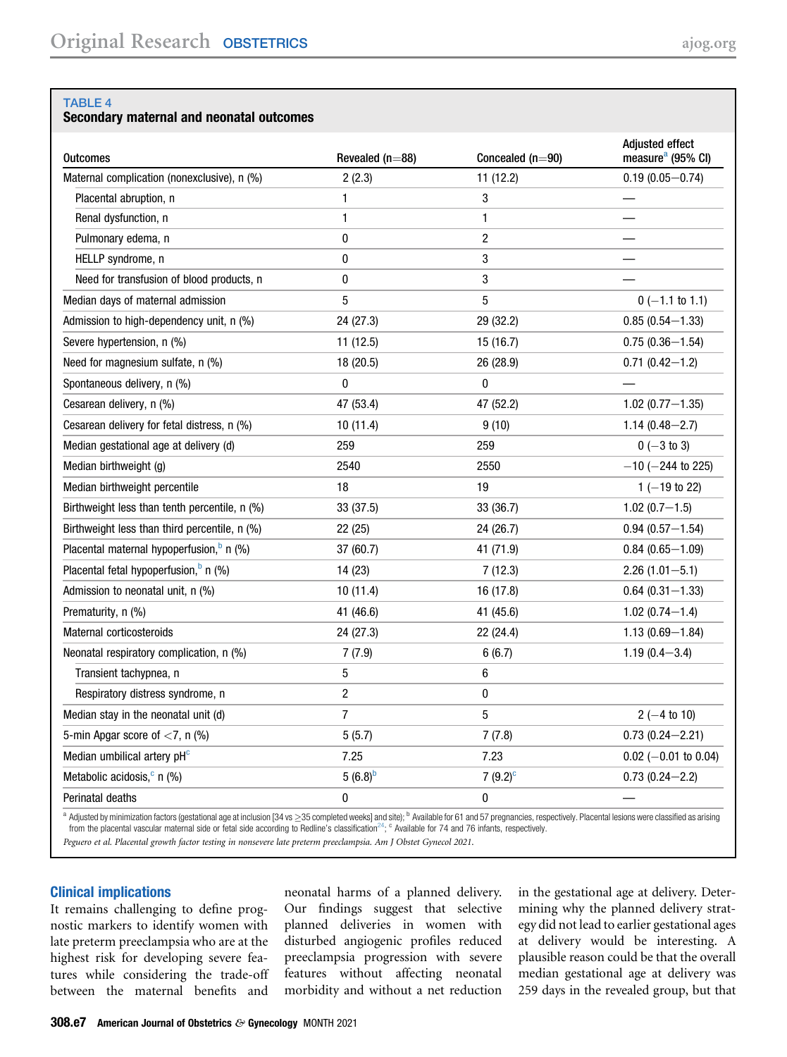#### <span id="page-6-0"></span>TABLE 4

#### Secondary maternal and neonatal outcomes

| <b>Outcomes</b>                                      | Revealed (n=88) | Concealed (n=90) | Adjusted effect<br>measure <sup>a</sup> (95% CI) |
|------------------------------------------------------|-----------------|------------------|--------------------------------------------------|
| Maternal complication (nonexclusive), n (%)          | 2(2.3)          | 11(12.2)         | $0.19(0.05 - 0.74)$                              |
| Placental abruption, n                               | 1               | 3                |                                                  |
| Renal dysfunction, n                                 | 1               | 1                |                                                  |
| Pulmonary edema, n                                   | 0               | $\overline{c}$   |                                                  |
| HELLP syndrome, n                                    | 0               | 3                |                                                  |
| Need for transfusion of blood products, n            | 0               | 3                |                                                  |
| Median days of maternal admission                    | 5               | 5                | $0$ (-1.1 to 1.1)                                |
| Admission to high-dependency unit, n (%)             | 24 (27.3)       | 29 (32.2)        | $0.85(0.54 - 1.33)$                              |
| Severe hypertension, n (%)                           | 11 (12.5)       | 15 (16.7)        | $0.75(0.36 - 1.54)$                              |
| Need for magnesium sulfate, n (%)                    | 18 (20.5)       | 26 (28.9)        | $0.71(0.42 - 1.2)$                               |
| Spontaneous delivery, n (%)                          | $\mathbf 0$     | $\mathbf 0$      |                                                  |
| Cesarean delivery, n (%)                             | 47 (53.4)       | 47 (52.2)        | $1.02(0.77 - 1.35)$                              |
| Cesarean delivery for fetal distress, n (%)          | 10(11.4)        | 9(10)            | $1.14(0.48 - 2.7)$                               |
| Median gestational age at delivery (d)               | 259             | 259              | $0 (-3 to 3)$                                    |
| Median birthweight (g)                               | 2540            | 2550             | $-10$ ( $-244$ to 225)                           |
| Median birthweight percentile                        | 18              | 19               | $1 (-19 to 22)$                                  |
| Birthweight less than tenth percentile, n (%)        | 33 (37.5)       | 33 (36.7)        | $1.02(0.7-1.5)$                                  |
| Birthweight less than third percentile, n (%)        | 22 (25)         | 24 (26.7)        | $0.94(0.57 - 1.54)$                              |
| Placental maternal hypoperfusion, <sup>b</sup> n (%) | 37 (60.7)       | 41 (71.9)        | $0.84(0.65 - 1.09)$                              |
| Placental fetal hypoperfusion, <sup>b</sup> n (%)    | 14 (23)         | 7(12.3)          | $2.26(1.01 - 5.1)$                               |
| Admission to neonatal unit, n (%)                    | 10 (11.4)       | 16 (17.8)        | $0.64(0.31 - 1.33)$                              |
| Prematurity, n (%)                                   | 41 (46.6)       | 41 (45.6)        | $1.02(0.74 - 1.4)$                               |
| Maternal corticosteroids                             | 24 (27.3)       | 22 (24.4)        | $1.13(0.69 - 1.84)$                              |
| Neonatal respiratory complication, n (%)             | 7(7.9)          | 6(6.7)           | $1.19(0.4 - 3.4)$                                |
| Transient tachypnea, n                               | 5               | 6                |                                                  |
| Respiratory distress syndrome, n                     | $\overline{2}$  | 0                |                                                  |
| Median stay in the neonatal unit (d)                 | $\overline{7}$  | 5                | $2(-4 to 10)$                                    |
| 5-min Apgar score of <7, n (%)                       | 5(5.7)          | 7(7.8)           | $0.73(0.24 - 2.21)$                              |
| Median umbilical artery pH <sup>c</sup>              | 7.25            | 7.23             | $0.02$ (-0.01 to 0.04)                           |
| Metabolic acidosis, $c$ n $(\%)$                     | $5(6.8)^b$      | 7 $(9.2)^c$      | $0.73(0.24 - 2.2)$                               |
| Perinatal deaths                                     | 0               | 0                |                                                  |
|                                                      |                 |                  |                                                  |

<span id="page-6-2"></span><span id="page-6-1"></span>a Adjusted by minimization factors (gestational age at inclusion [34 vs ≥35 completed weeks] and site); <sup>b</sup> Available for 61 and 57 pregnancies, respectively. Placental lesions were classified as arising from the placental vascular maternal side or fetal side according to Redline's classification<sup>[24](#page-8-18)</sup>; <sup>c</sup> Available for 74 and 76 infants, respectively.

Peguero et al. Placental growth factor testing in nonsevere late preterm preeclampsia. Am J Obstet Gynecol 2021.

#### Clinical implications

It remains challenging to define prognostic markers to identify women with late preterm preeclampsia who are at the highest risk for developing severe features while considering the trade-off between the maternal benefits and neonatal harms of a planned delivery. Our findings suggest that selective planned deliveries in women with disturbed angiogenic profiles reduced preeclampsia progression with severe features without affecting neonatal morbidity and without a net reduction

in the gestational age at delivery. Determining why the planned delivery strategy did not lead to earlier gestational ages at delivery would be interesting. A plausible reason could be that the overall median gestational age at delivery was 259 days in the revealed group, but that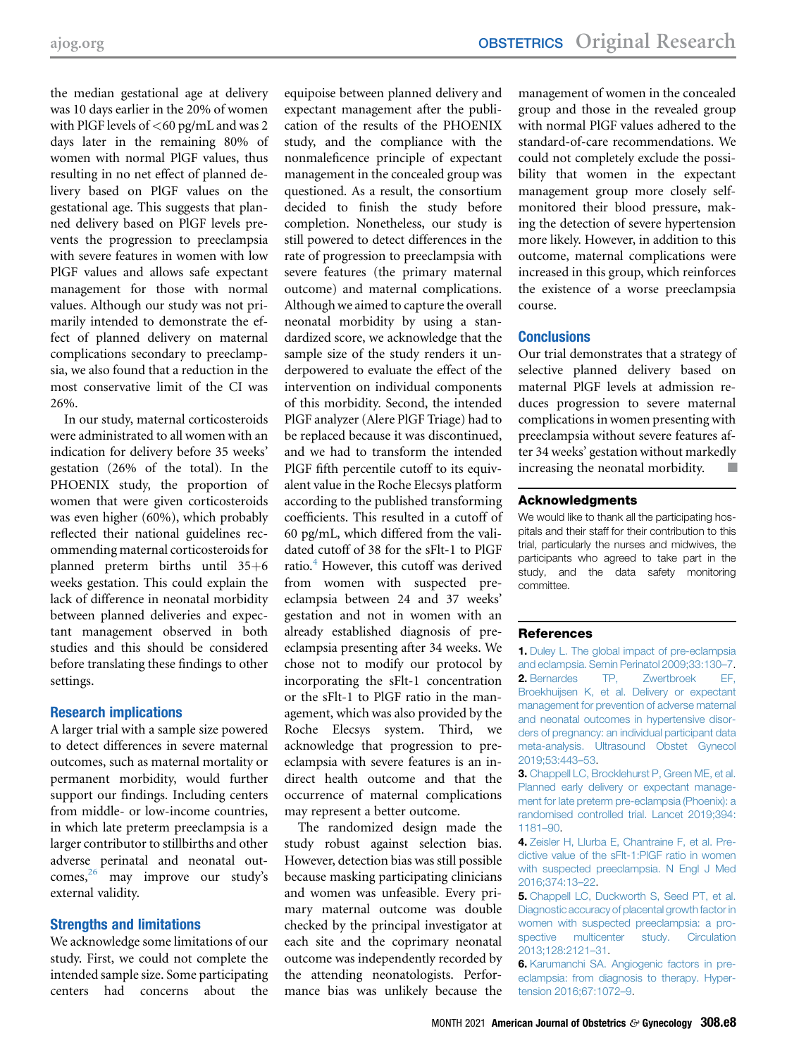the median gestational age at delivery was 10 days earlier in the 20% of women with PlGF levels of <60 pg/mL and was 2 days later in the remaining 80% of women with normal PlGF values, thus resulting in no net effect of planned delivery based on PlGF values on the gestational age. This suggests that planned delivery based on PlGF levels prevents the progression to preeclampsia with severe features in women with low PlGF values and allows safe expectant management for those with normal values. Although our study was not primarily intended to demonstrate the effect of planned delivery on maternal complications secondary to preeclampsia, we also found that a reduction in the most conservative limit of the CI was 26%.

In our study, maternal corticosteroids were administrated to all women with an indication for delivery before 35 weeks' gestation (26% of the total). In the PHOENIX study, the proportion of women that were given corticosteroids was even higher (60%), which probably reflected their national guidelines recommending maternal corticosteroids for planned preterm births until  $35+6$ weeks gestation. This could explain the lack of difference in neonatal morbidity between planned deliveries and expectant management observed in both studies and this should be considered before translating these findings to other settings.

#### Research implications

A larger trial with a sample size powered to detect differences in severe maternal outcomes, such as maternal mortality or permanent morbidity, would further support our findings. Including centers from middle- or low-income countries, in which late preterm preeclampsia is a larger contributor to stillbirths and other adverse perinatal and neonatal out $comes<sub>1</sub><sup>26</sup>$  may improve our study's external validity.

#### Strengths and limitations

We acknowledge some limitations of our study. First, we could not complete the intended sample size. Some participating centers had concerns about the equipoise between planned delivery and expectant management after the publication of the results of the PHOENIX study, and the compliance with the nonmaleficence principle of expectant management in the concealed group was questioned. As a result, the consortium decided to finish the study before completion. Nonetheless, our study is still powered to detect differences in the rate of progression to preeclampsia with severe features (the primary maternal outcome) and maternal complications. Although we aimed to capture the overall neonatal morbidity by using a standardized score, we acknowledge that the sample size of the study renders it underpowered to evaluate the effect of the intervention on individual components of this morbidity. Second, the intended PlGF analyzer (Alere PlGF Triage) had to be replaced because it was discontinued, and we had to transform the intended PlGF fifth percentile cutoff to its equivalent value in the Roche Elecsys platform according to the published transforming coefficients. This resulted in a cutoff of 60 pg/mL, which differed from the validated cutoff of 38 for the sFlt-1 to PlGF ratio.<sup>[4](#page-7-3)</sup> However, this cutoff was derived from women with suspected preeclampsia between 24 and 37 weeks' gestation and not in women with an already established diagnosis of preeclampsia presenting after 34 weeks. We chose not to modify our protocol by incorporating the sFlt-1 concentration or the sFlt-1 to PlGF ratio in the management, which was also provided by the Roche Elecsys system. Third, we acknowledge that progression to preeclampsia with severe features is an indirect health outcome and that the occurrence of maternal complications may represent a better outcome.

The randomized design made the study robust against selection bias. However, detection bias was still possible because masking participating clinicians and women was unfeasible. Every primary maternal outcome was double checked by the principal investigator at each site and the coprimary neonatal outcome was independently recorded by the attending neonatologists. Performance bias was unlikely because the

management of women in the concealed group and those in the revealed group with normal PlGF values adhered to the standard-of-care recommendations. We could not completely exclude the possibility that women in the expectant management group more closely selfmonitored their blood pressure, making the detection of severe hypertension more likely. However, in addition to this outcome, maternal complications were increased in this group, which reinforces the existence of a worse preeclampsia course.

#### **Conclusions**

Our trial demonstrates that a strategy of selective planned delivery based on maternal PlGF levels at admission reduces progression to severe maternal complications in women presenting with preeclampsia without severe features after 34 weeks' gestation without markedly increasing the neonatal morbidity.

#### Acknowledgments

We would like to thank all the participating hospitals and their staff for their contribution to this trial, particularly the nurses and midwives, the participants who agreed to take part in the study, and the data safety monitoring committee.

#### <span id="page-7-0"></span>References

<span id="page-7-1"></span>1. Duley L. The global impact of pre-eclampsia and eclampsia. Semin Perinatol 2009;33:130–7. 2. [Bernardes TP, Zwertbroek EF,](http://refhub.elsevier.com/S0002-9378(21)00224-6/sref2) [Broekhuijsen K, et al. Delivery or expectant](http://refhub.elsevier.com/S0002-9378(21)00224-6/sref2) [management for prevention of adverse maternal](http://refhub.elsevier.com/S0002-9378(21)00224-6/sref2) [and neonatal outcomes in hypertensive disor](http://refhub.elsevier.com/S0002-9378(21)00224-6/sref2)[ders of pregnancy: an individual participant data](http://refhub.elsevier.com/S0002-9378(21)00224-6/sref2) [meta-analysis. Ultrasound Obstet Gynecol](http://refhub.elsevier.com/S0002-9378(21)00224-6/sref2) [2019;53:443](http://refhub.elsevier.com/S0002-9378(21)00224-6/sref2)–53.

<span id="page-7-2"></span>3. [Chappell LC, Brocklehurst P, Green ME, et al.](http://refhub.elsevier.com/S0002-9378(21)00224-6/sref3) [Planned early delivery or expectant manage](http://refhub.elsevier.com/S0002-9378(21)00224-6/sref3)[ment for late preterm pre-eclampsia \(Phoenix\): a](http://refhub.elsevier.com/S0002-9378(21)00224-6/sref3) [randomised controlled trial. Lancet 2019;394:](http://refhub.elsevier.com/S0002-9378(21)00224-6/sref3) [1181](http://refhub.elsevier.com/S0002-9378(21)00224-6/sref3)–90.

<span id="page-7-4"></span><span id="page-7-3"></span>4. [Zeisler H, Llurba E, Chantraine F, et al. Pre](http://refhub.elsevier.com/S0002-9378(21)00224-6/sref4)[dictive value of the sFlt-1:PlGF ratio in women](http://refhub.elsevier.com/S0002-9378(21)00224-6/sref4) [with suspected preeclampsia. N Engl J Med](http://refhub.elsevier.com/S0002-9378(21)00224-6/sref4) [2016;374:13](http://refhub.elsevier.com/S0002-9378(21)00224-6/sref4)–22.

5. [Chappell LC, Duckworth S, Seed PT, et al.](http://refhub.elsevier.com/S0002-9378(21)00224-6/sref5) [Diagnostic accuracy of placental growth factor in](http://refhub.elsevier.com/S0002-9378(21)00224-6/sref5) [women with suspected preeclampsia: a pro](http://refhub.elsevier.com/S0002-9378(21)00224-6/sref5)[spective multicenter study. Circulation](http://refhub.elsevier.com/S0002-9378(21)00224-6/sref5) [2013;128:2121](http://refhub.elsevier.com/S0002-9378(21)00224-6/sref5)–31.

<span id="page-7-5"></span>6. [Karumanchi SA. Angiogenic factors in pre](http://refhub.elsevier.com/S0002-9378(21)00224-6/sref6)[eclampsia: from diagnosis to therapy. Hyper](http://refhub.elsevier.com/S0002-9378(21)00224-6/sref6)[tension 2016;67:1072](http://refhub.elsevier.com/S0002-9378(21)00224-6/sref6)–9.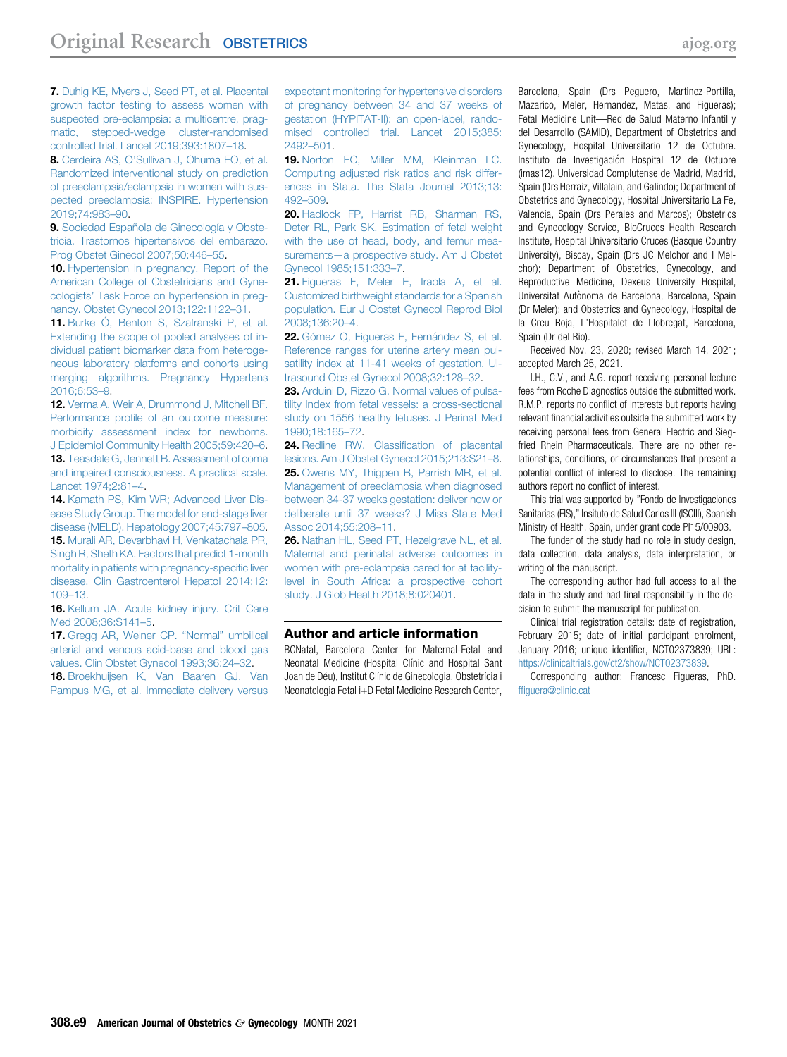<span id="page-8-0"></span>7. [Duhig KE, Myers J, Seed PT, et al. Placental](http://refhub.elsevier.com/S0002-9378(21)00224-6/sref7) [growth factor testing to assess women with](http://refhub.elsevier.com/S0002-9378(21)00224-6/sref7) [suspected pre-eclampsia: a multicentre, prag](http://refhub.elsevier.com/S0002-9378(21)00224-6/sref7)[matic, stepped-wedge cluster-randomised](http://refhub.elsevier.com/S0002-9378(21)00224-6/sref7) [controlled trial. Lancet 2019;393:1807](http://refhub.elsevier.com/S0002-9378(21)00224-6/sref7)–18.

<span id="page-8-1"></span>8. Cerdeira AS, O'[Sullivan J, Ohuma EO, et al.](http://refhub.elsevier.com/S0002-9378(21)00224-6/sref8) [Randomized interventional study on prediction](http://refhub.elsevier.com/S0002-9378(21)00224-6/sref8) [of preeclampsia/eclampsia in women with sus](http://refhub.elsevier.com/S0002-9378(21)00224-6/sref8)[pected preeclampsia: INSPIRE. Hypertension](http://refhub.elsevier.com/S0002-9378(21)00224-6/sref8) [2019;74:983](http://refhub.elsevier.com/S0002-9378(21)00224-6/sref8)–90.

<span id="page-8-2"></span>9. [Sociedad Española de Ginecología y Obste](http://refhub.elsevier.com/S0002-9378(21)00224-6/sref9)[tricia. Trastornos hipertensivos del embarazo.](http://refhub.elsevier.com/S0002-9378(21)00224-6/sref9) [Prog Obstet Ginecol 2007;50:446](http://refhub.elsevier.com/S0002-9378(21)00224-6/sref9)–55.

<span id="page-8-3"></span>10. [Hypertension in pregnancy. Report of the](http://refhub.elsevier.com/S0002-9378(21)00224-6/sref10) [American College of Obstetricians and Gyne](http://refhub.elsevier.com/S0002-9378(21)00224-6/sref10)cologists' [Task Force on hypertension in preg](http://refhub.elsevier.com/S0002-9378(21)00224-6/sref10)[nancy. Obstet Gynecol 2013;122:1122](http://refhub.elsevier.com/S0002-9378(21)00224-6/sref10)–31.

<span id="page-8-4"></span>11. [Burke Ó, Benton S, Szafranski P, et al.](http://refhub.elsevier.com/S0002-9378(21)00224-6/sref11) [Extending the scope of pooled analyses of in](http://refhub.elsevier.com/S0002-9378(21)00224-6/sref11)[dividual patient biomarker data from heteroge](http://refhub.elsevier.com/S0002-9378(21)00224-6/sref11)[neous laboratory platforms and cohorts using](http://refhub.elsevier.com/S0002-9378(21)00224-6/sref11) [merging algorithms. Pregnancy Hypertens](http://refhub.elsevier.com/S0002-9378(21)00224-6/sref11) [2016;6:53](http://refhub.elsevier.com/S0002-9378(21)00224-6/sref11)–9.

<span id="page-8-5"></span>12. [Verma A, Weir A, Drummond J, Mitchell BF.](http://refhub.elsevier.com/S0002-9378(21)00224-6/sref12) Performance profi[le of an outcome measure:](http://refhub.elsevier.com/S0002-9378(21)00224-6/sref12) [morbidity assessment index for newborns.](http://refhub.elsevier.com/S0002-9378(21)00224-6/sref12) [J Epidemiol Community Health 2005;59:420](http://refhub.elsevier.com/S0002-9378(21)00224-6/sref12)–6. 13. [Teasdale G, Jennett B. Assessment of coma](http://refhub.elsevier.com/S0002-9378(21)00224-6/sref13) [and impaired consciousness. A practical scale.](http://refhub.elsevier.com/S0002-9378(21)00224-6/sref13) [Lancet 1974;2:81](http://refhub.elsevier.com/S0002-9378(21)00224-6/sref13)–4.

<span id="page-8-8"></span><span id="page-8-7"></span><span id="page-8-6"></span>14. [Kamath PS, Kim WR; Advanced Liver Dis](http://refhub.elsevier.com/S0002-9378(21)00224-6/sref14)[ease Study Group. The model for end-stage liver](http://refhub.elsevier.com/S0002-9378(21)00224-6/sref14) [disease \(MELD\). Hepatology 2007;45:797](http://refhub.elsevier.com/S0002-9378(21)00224-6/sref14)–805. 15. [Murali AR, Devarbhavi H, Venkatachala PR,](http://refhub.elsevier.com/S0002-9378(21)00224-6/sref15) [Singh R, Sheth KA. Factors that predict 1-month](http://refhub.elsevier.com/S0002-9378(21)00224-6/sref15) [mortality in patients with pregnancy-speci](http://refhub.elsevier.com/S0002-9378(21)00224-6/sref15)fic liver [disease. Clin Gastroenterol Hepatol 2014;12:](http://refhub.elsevier.com/S0002-9378(21)00224-6/sref15) [109](http://refhub.elsevier.com/S0002-9378(21)00224-6/sref15)–13.

<span id="page-8-9"></span>16. [Kellum JA. Acute kidney injury. Crit Care](http://refhub.elsevier.com/S0002-9378(21)00224-6/sref16) [Med 2008;36:S141](http://refhub.elsevier.com/S0002-9378(21)00224-6/sref16)–5.

<span id="page-8-10"></span>17. [Gregg AR, Weiner CP.](http://refhub.elsevier.com/S0002-9378(21)00224-6/sref17) "Normal" umbilical [arterial and venous acid-base and blood gas](http://refhub.elsevier.com/S0002-9378(21)00224-6/sref17) [values. Clin Obstet Gynecol 1993;36:24](http://refhub.elsevier.com/S0002-9378(21)00224-6/sref17)–32.

<span id="page-8-11"></span>18. [Broekhuijsen K, Van Baaren GJ, Van](http://refhub.elsevier.com/S0002-9378(21)00224-6/sref18) [Pampus MG, et al. Immediate delivery versus](http://refhub.elsevier.com/S0002-9378(21)00224-6/sref18) [expectant monitoring for hypertensive disorders](http://refhub.elsevier.com/S0002-9378(21)00224-6/sref18) [of pregnancy between 34 and 37 weeks of](http://refhub.elsevier.com/S0002-9378(21)00224-6/sref18) [gestation \(HYPITAT-II\): an open-label, rando](http://refhub.elsevier.com/S0002-9378(21)00224-6/sref18)[mised controlled trial. Lancet 2015;385:](http://refhub.elsevier.com/S0002-9378(21)00224-6/sref18) [2492](http://refhub.elsevier.com/S0002-9378(21)00224-6/sref18)–501.

<span id="page-8-12"></span>19. [Norton EC, Miller MM, Kleinman LC.](http://refhub.elsevier.com/S0002-9378(21)00224-6/sref19) [Computing adjusted risk ratios and risk differ](http://refhub.elsevier.com/S0002-9378(21)00224-6/sref19)[ences in Stata. The Stata Journal 2013;13:](http://refhub.elsevier.com/S0002-9378(21)00224-6/sref19) 492–[509.](http://refhub.elsevier.com/S0002-9378(21)00224-6/sref19)

<span id="page-8-13"></span>20. [Hadlock FP, Harrist RB, Sharman RS,](http://refhub.elsevier.com/S0002-9378(21)00224-6/sref20) [Deter RL, Park SK. Estimation of fetal weight](http://refhub.elsevier.com/S0002-9378(21)00224-6/sref20) [with the use of head, body, and femur mea](http://refhub.elsevier.com/S0002-9378(21)00224-6/sref20)surements—[a prospective study. Am J Obstet](http://refhub.elsevier.com/S0002-9378(21)00224-6/sref20) [Gynecol 1985;151:333](http://refhub.elsevier.com/S0002-9378(21)00224-6/sref20)–7.

<span id="page-8-14"></span>21. [Figueras F, Meler E, Iraola A, et al.](http://refhub.elsevier.com/S0002-9378(21)00224-6/sref21) [Customized birthweight standards for a Spanish](http://refhub.elsevier.com/S0002-9378(21)00224-6/sref21) [population. Eur J Obstet Gynecol Reprod Biol](http://refhub.elsevier.com/S0002-9378(21)00224-6/sref21) [2008;136:20](http://refhub.elsevier.com/S0002-9378(21)00224-6/sref21)–4.

<span id="page-8-15"></span>22. [Gómez O, Figueras F, Fernández S, et al.](http://refhub.elsevier.com/S0002-9378(21)00224-6/sref22) [Reference ranges for uterine artery mean pul](http://refhub.elsevier.com/S0002-9378(21)00224-6/sref22)[satility index at 11-41 weeks of gestation. Ul](http://refhub.elsevier.com/S0002-9378(21)00224-6/sref22)[trasound Obstet Gynecol 2008;32:128](http://refhub.elsevier.com/S0002-9378(21)00224-6/sref22)–32.

<span id="page-8-16"></span>23. [Arduini D, Rizzo G. Normal values of pulsa](http://refhub.elsevier.com/S0002-9378(21)00224-6/sref23)[tility Index from fetal vessels: a cross-sectional](http://refhub.elsevier.com/S0002-9378(21)00224-6/sref23) [study on 1556 healthy fetuses. J Perinat Med](http://refhub.elsevier.com/S0002-9378(21)00224-6/sref23) [1990;18:165](http://refhub.elsevier.com/S0002-9378(21)00224-6/sref23)–72.

<span id="page-8-18"></span><span id="page-8-17"></span>24. [Redline RW. Classi](http://refhub.elsevier.com/S0002-9378(21)00224-6/sref24)fication of placental [lesions. Am J Obstet Gynecol 2015;213:S21](http://refhub.elsevier.com/S0002-9378(21)00224-6/sref24)–8. 25. [Owens MY, Thigpen B, Parrish MR, et al.](http://refhub.elsevier.com/S0002-9378(21)00224-6/sref25) [Management of preeclampsia when diagnosed](http://refhub.elsevier.com/S0002-9378(21)00224-6/sref25) [between 34-37 weeks gestation: deliver now or](http://refhub.elsevier.com/S0002-9378(21)00224-6/sref25) [deliberate until 37 weeks? J Miss State Med](http://refhub.elsevier.com/S0002-9378(21)00224-6/sref25) [Assoc 2014;55:208](http://refhub.elsevier.com/S0002-9378(21)00224-6/sref25)–11.

<span id="page-8-19"></span>26. [Nathan HL, Seed PT, Hezelgrave NL, et al.](http://refhub.elsevier.com/S0002-9378(21)00224-6/sref26) [Maternal and perinatal adverse outcomes in](http://refhub.elsevier.com/S0002-9378(21)00224-6/sref26) [women with pre-eclampsia cared for at facility](http://refhub.elsevier.com/S0002-9378(21)00224-6/sref26)[level in South Africa: a prospective cohort](http://refhub.elsevier.com/S0002-9378(21)00224-6/sref26) [study. J Glob Health 2018;8:020401.](http://refhub.elsevier.com/S0002-9378(21)00224-6/sref26)

#### Author and article information

BCNatal, Barcelona Center for Maternal-Fetal and Neonatal Medicine (Hospital Clínic and Hospital Sant Joan de Déu), Institut Clínic de Ginecologia, Obstetrícia i Neonatologia Fetal i+D Fetal Medicine Research Center,

Barcelona, Spain (Drs Peguero, Martinez-Portilla, Mazarico, Meler, Hernandez, Matas, and Figueras); Fetal Medicine Unit—Red de Salud Materno Infantil y del Desarrollo (SAMID), Department of Obstetrics and Gynecology, Hospital Universitario 12 de Octubre. Instituto de Investigación Hospital 12 de Octubre (imas12). Universidad Complutense de Madrid, Madrid, Spain (Drs Herraiz, Villalain, and Galindo); Department of Obstetrics and Gynecology, Hospital Universitario La Fe, Valencia, Spain (Drs Perales and Marcos); Obstetrics and Gynecology Service, BioCruces Health Research Institute, Hospital Universitario Cruces (Basque Country University), Biscay, Spain (Drs JC Melchor and I Melchor); Department of Obstetrics, Gynecology, and Reproductive Medicine, Dexeus University Hospital, Universitat Autònoma de Barcelona, Barcelona, Spain (Dr Meler); and Obstetrics and Gynecology, Hospital de la Creu Roja, L'Hospitalet de Llobregat, Barcelona, Spain (Dr del Rio).

Received Nov. 23, 2020; revised March 14, 2021; accepted March 25, 2021.

I.H., C.V., and A.G. report receiving personal lecture fees from Roche Diagnostics outside the submitted work. R.M.P. reports no conflict of interests but reports having relevant financial activities outside the submitted work by receiving personal fees from General Electric and Siegfried Rhein Pharmaceuticals. There are no other relationships, conditions, or circumstances that present a potential conflict of interest to disclose. The remaining authors report no conflict of interest.

This trial was supported by "Fondo de Investigaciones Sanitarias (FIS)," Insituto de Salud Carlos III (ISCIII), Spanish Ministry of Health, Spain, under grant code PI15/00903.

The funder of the study had no role in study design, data collection, data analysis, data interpretation, or writing of the manuscript.

The corresponding author had full access to all the data in the study and had final responsibility in the decision to submit the manuscript for publication.

Clinical trial registration details: date of registration, February 2015; date of initial participant enrolment, January 2016; unique identifier, NCT02373839; URL: [https://clinicaltrials.gov/ct2/show/NCT02373839.](https://clinicaltrials.gov/ct2/show/NCT02373839)

Corresponding author: Francesc Figueras, PhD. [ffiguera@clinic.cat](mailto:ffiguera@clinic.cat)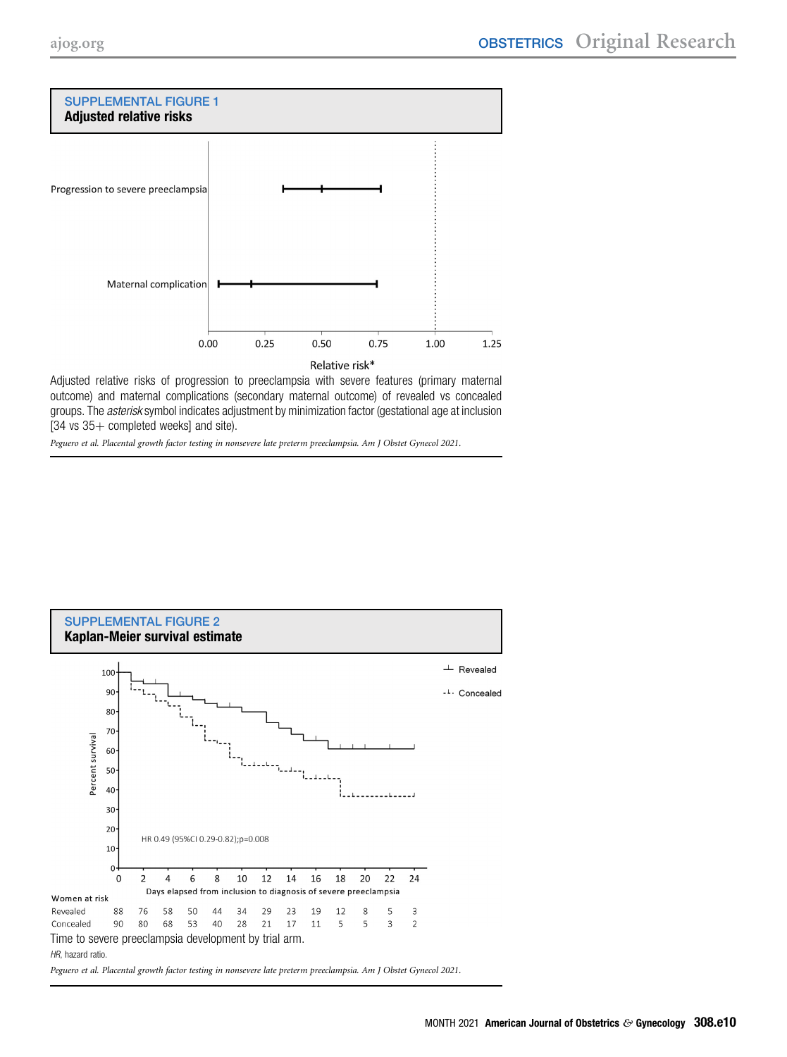<span id="page-9-0"></span>

Adjusted relative risks of progression to preeclampsia with severe features (primary maternal outcome) and maternal complications (secondary maternal outcome) of revealed vs concealed groups. The *asterisk* symbol indicates adjustment by minimization factor (gestational age at inclusion  $[34 \text{ vs } 35 + \text{ completed weeks}]$  and site).

<span id="page-9-1"></span>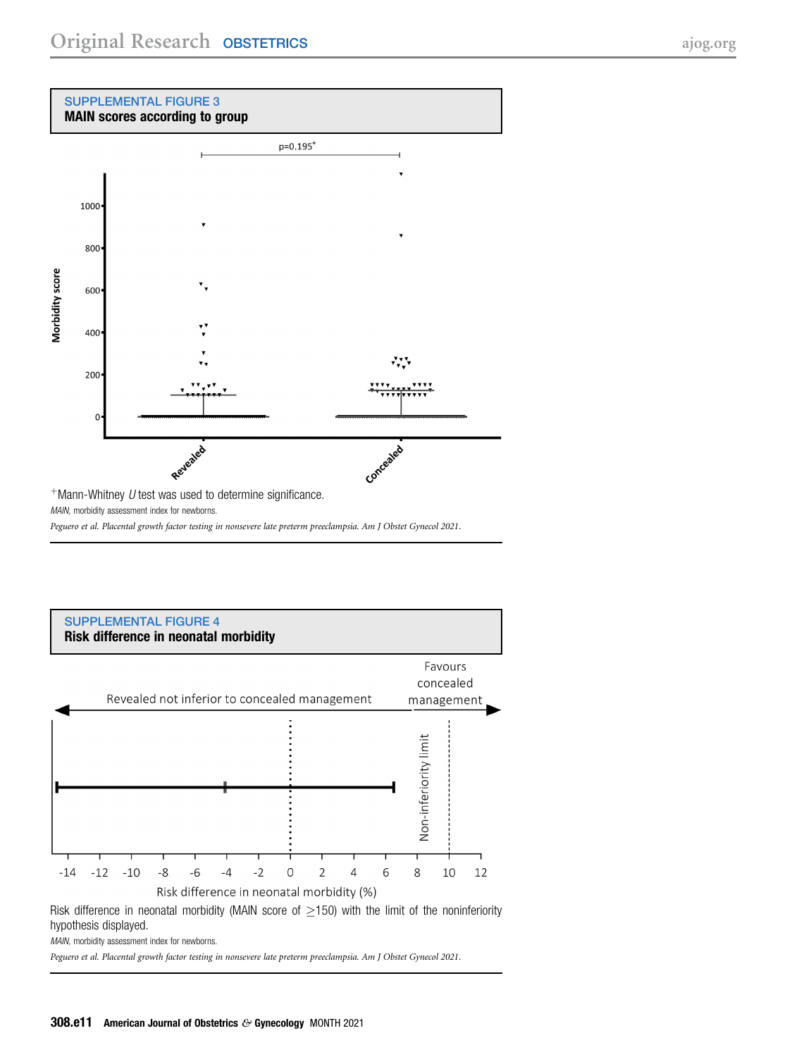#### <span id="page-10-0"></span>SUPPLEMENTAL FIGURE 3 MAIN scores according to group



MAIN, morbidity assessment index for newborns.

Peguero et al. Placental growth factor testing in nonsevere late preterm preeclampsia. Am J Obstet Gynecol 2021.

<span id="page-10-1"></span>

Risk difference in neonatal morbidity (MAIN score of  $\geq$ 150) with the limit of the noninferiority hypothesis displayed.

MAIN, morbidity assessment index for newborns.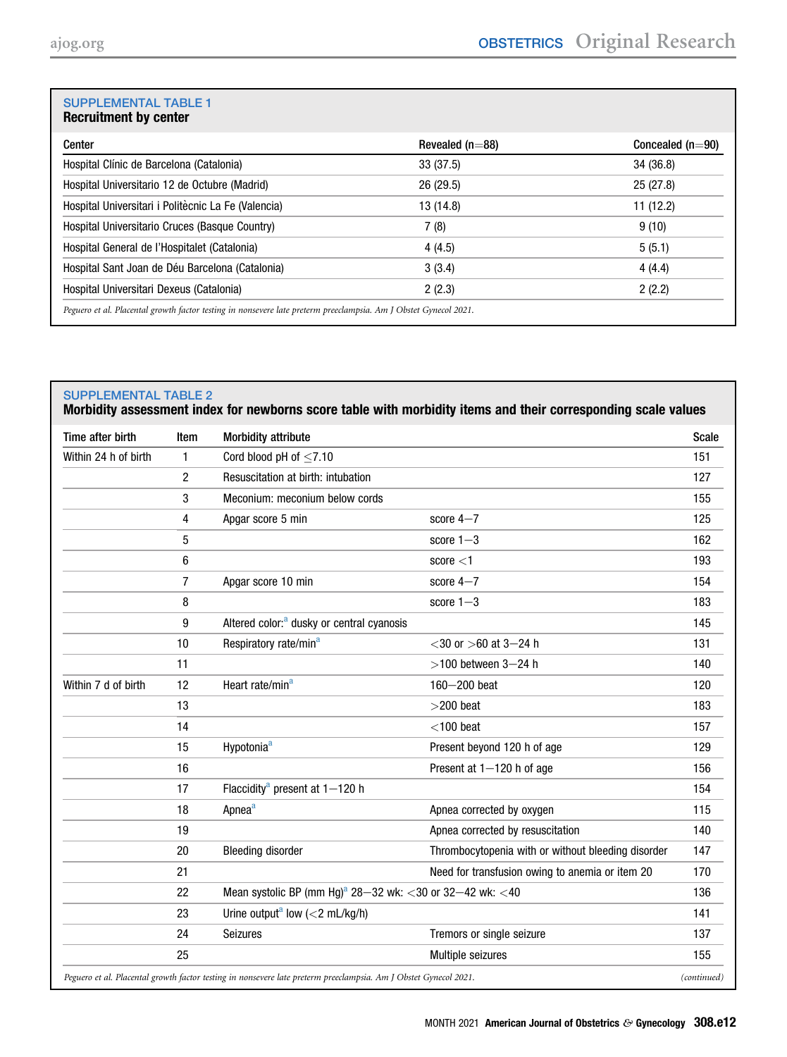# <span id="page-11-0"></span>SUPPLEMENTAL TABLE 1

| Center                                              | Revealed ( $n=88$ ) | Concealed $(n=90)$ |
|-----------------------------------------------------|---------------------|--------------------|
| Hospital Clínic de Barcelona (Catalonia)            | 33(37.5)            | 34 (36.8)          |
| Hospital Universitario 12 de Octubre (Madrid)       | 26(29.5)            | 25(27.8)           |
| Hospital Universitari i Politècnic La Fe (Valencia) | 13 (14.8)           | 11 (12.2)          |
| Hospital Universitario Cruces (Basque Country)      | 7(8)                | 9(10)              |
| Hospital General de l'Hospitalet (Catalonia)        | 4(4.5)              | 5(5.1)             |
| Hospital Sant Joan de Déu Barcelona (Catalonia)     | 3(3.4)              | 4(4.4)             |
| Hospital Universitari Dexeus (Catalonia)            | 2(2.3)              | 2(2.2)             |

### <span id="page-11-1"></span>SUPPLEMENTAL TABLE 2

Morbidity assessment index for newborns score table with morbidity items and their corresponding scale values

| Time after birth                                                                                                 | Item           | <b>Morbidity attribute</b>                                           |                                                    | <b>Scale</b> |
|------------------------------------------------------------------------------------------------------------------|----------------|----------------------------------------------------------------------|----------------------------------------------------|--------------|
| Within 24 h of birth                                                                                             | $\mathbf{1}$   | Cord blood pH of $\leq$ 7.10                                         |                                                    | 151          |
|                                                                                                                  | $\overline{c}$ | Resuscitation at birth: intubation                                   |                                                    | 127          |
|                                                                                                                  | 3              | Meconium: meconium below cords                                       |                                                    | 155          |
|                                                                                                                  | 4              | Apgar score 5 min                                                    | score $4-7$                                        | 125          |
|                                                                                                                  | 5              |                                                                      | score $1-3$                                        | 162          |
|                                                                                                                  | 6              |                                                                      | score $<$ 1                                        | 193          |
|                                                                                                                  | $\overline{7}$ | Apgar score 10 min                                                   | score $4 - 7$                                      | 154          |
|                                                                                                                  | 8              |                                                                      | score $1-3$                                        | 183          |
|                                                                                                                  | 9              | Altered color: <sup>a</sup> dusky or central cyanosis                |                                                    | 145          |
|                                                                                                                  | 10             | Respiratory rate/min <sup>a</sup>                                    | $<$ 30 or $>$ 60 at 3–24 h                         | 131          |
|                                                                                                                  | 11             |                                                                      | $>100$ between 3-24 h                              | 140          |
| Within 7 d of birth                                                                                              | 12             | Heart rate/min <sup>a</sup>                                          | 160-200 beat                                       | 120          |
|                                                                                                                  | 13             |                                                                      | $>$ 200 beat                                       | 183          |
|                                                                                                                  | 14             |                                                                      | $<$ 100 beat                                       | 157          |
|                                                                                                                  | 15             | Hypotonia <sup>a</sup>                                               | Present beyond 120 h of age                        | 129          |
|                                                                                                                  | 16             |                                                                      | Present at 1-120 h of age                          | 156          |
|                                                                                                                  | 17             | Flaccidity <sup>a</sup> present at $1-120$ h                         |                                                    | 154          |
|                                                                                                                  | 18             | Apnea <sup>a</sup>                                                   | Apnea corrected by oxygen                          | 115          |
|                                                                                                                  | 19             |                                                                      | Apnea corrected by resuscitation                   | 140          |
|                                                                                                                  | 20             | <b>Bleeding disorder</b>                                             | Thrombocytopenia with or without bleeding disorder | 147          |
|                                                                                                                  | 21             |                                                                      | Need for transfusion owing to anemia or item 20    | 170          |
|                                                                                                                  | 22             | Mean systolic BP (mm Hg) <sup>a</sup> 28-32 wk: <30 or 32-42 wk: <40 |                                                    | 136          |
|                                                                                                                  | 23             | Urine output <sup>a</sup> low (<2 mL/kg/h)                           |                                                    | 141          |
|                                                                                                                  | 24             | <b>Seizures</b>                                                      | Tremors or single seizure                          | 137          |
|                                                                                                                  | 25             |                                                                      | Multiple seizures                                  | 155          |
| Peguero et al. Placental growth factor testing in nonsevere late preterm preeclampsia. Am J Obstet Gynecol 2021. |                | (continued)                                                          |                                                    |              |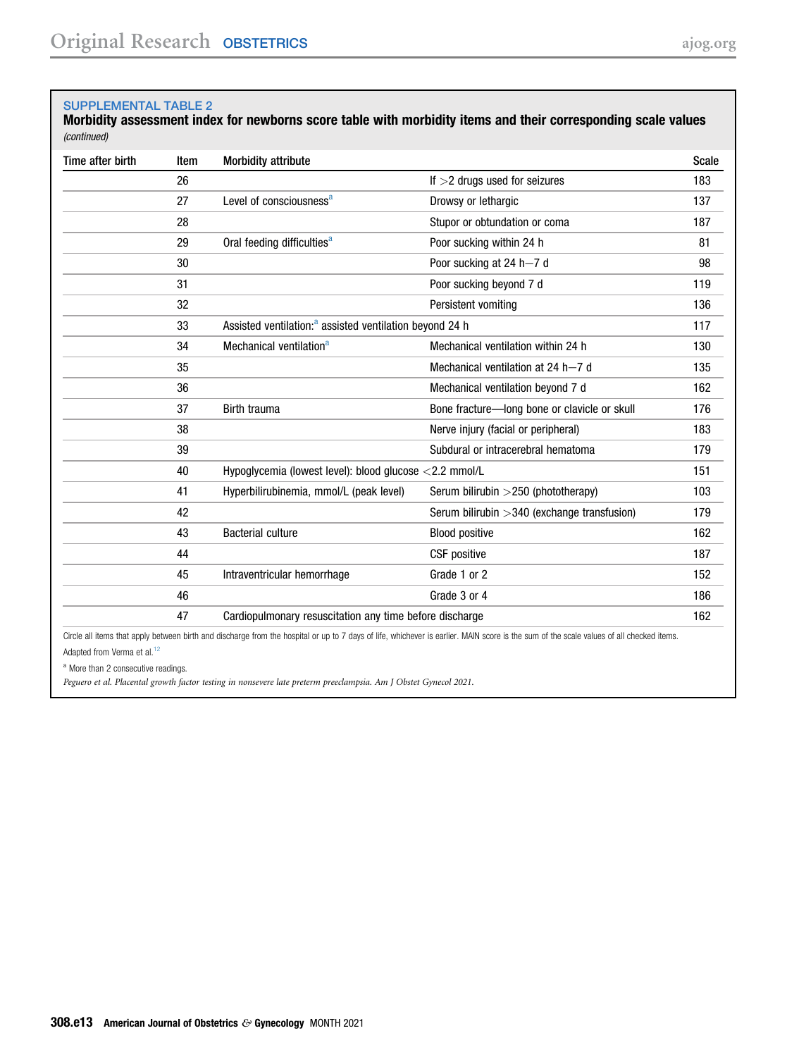#### SUPPLEMENTAL TABLE 2

Morbidity assessment index for newborns score table with morbidity items and their corresponding scale values (continued)

| Time after birth | Item | <b>Morbidity attribute</b>                                          |                                                | Scale |
|------------------|------|---------------------------------------------------------------------|------------------------------------------------|-------|
|                  | 26   |                                                                     | If $>$ 2 drugs used for seizures               | 183   |
|                  | 27   | Level of consciousness <sup>a</sup>                                 | Drowsy or lethargic                            | 137   |
|                  | 28   |                                                                     | Stupor or obtundation or coma                  | 187   |
|                  | 29   | Oral feeding difficulties <sup>a</sup>                              | Poor sucking within 24 h                       | 81    |
|                  | 30   |                                                                     | Poor sucking at 24 h-7 d                       | 98    |
|                  | 31   |                                                                     | Poor sucking beyond 7 d                        | 119   |
|                  | 32   |                                                                     | Persistent vomiting                            | 136   |
|                  | 33   | Assisted ventilation: <sup>a</sup> assisted ventilation beyond 24 h |                                                | 117   |
|                  | 34   | Mechanical ventilation <sup>a</sup>                                 | Mechanical ventilation within 24 h             | 130   |
|                  | 35   |                                                                     | Mechanical ventilation at 24 h-7 d             | 135   |
|                  | 36   |                                                                     | Mechanical ventilation beyond 7 d              | 162   |
|                  | 37   | Birth trauma                                                        | Bone fracture-long bone or clavicle or skull   | 176   |
|                  | 38   |                                                                     | Nerve injury (facial or peripheral)            | 183   |
|                  | 39   |                                                                     | Subdural or intracerebral hematoma             | 179   |
|                  | 40   | Hypoglycemia (lowest level): blood glucose <2.2 mmol/L              |                                                | 151   |
|                  | 41   | Hyperbilirubinemia, mmol/L (peak level)                             | Serum bilirubin > 250 (phototherapy)           | 103   |
|                  | 42   |                                                                     | Serum bilirubin $>$ 340 (exchange transfusion) | 179   |
|                  | 43   | <b>Bacterial culture</b>                                            | <b>Blood positive</b>                          | 162   |
|                  | 44   |                                                                     | <b>CSF</b> positive                            | 187   |
|                  | 45   | Intraventricular hemorrhage                                         | Grade 1 or 2                                   | 152   |
|                  | 46   |                                                                     | Grade 3 or 4                                   | 186   |
|                  | 47   | Cardiopulmonary resuscitation any time before discharge             |                                                | 162   |

Circle all items that apply between birth and discharge from the hospital or up to 7 days of life, whichever is earlier. MAIN score is the sum of the scale values of all checked items. Adapted from Verma et al.<sup>[12](#page-8-5)</sup>

<span id="page-12-0"></span>a More than 2 consecutive readings.